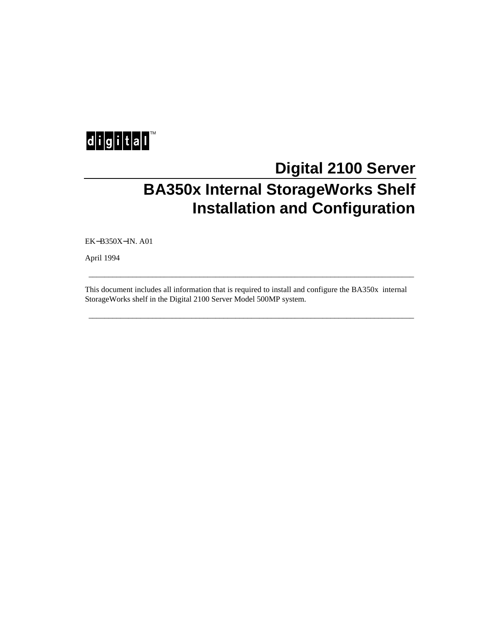

# **Digital 2100 Server BA350x Internal StorageWorks Shelf Installation and Configuration**

EK−B350X−IN. A01

April 1994

This document includes all information that is required to install and configure the BA350x internal StorageWorks shelf in the Digital 2100 Server Model 500MP system.

\_\_\_\_\_\_\_\_\_\_\_\_\_\_\_\_\_\_\_\_\_\_\_\_\_\_\_\_\_\_\_\_\_\_\_\_\_\_\_\_\_\_\_\_\_\_\_\_\_\_\_\_\_\_\_\_\_\_\_\_\_\_\_\_\_\_\_\_\_\_\_\_\_\_\_\_\_\_\_\_\_\_

\_\_\_\_\_\_\_\_\_\_\_\_\_\_\_\_\_\_\_\_\_\_\_\_\_\_\_\_\_\_\_\_\_\_\_\_\_\_\_\_\_\_\_\_\_\_\_\_\_\_\_\_\_\_\_\_\_\_\_\_\_\_\_\_\_\_\_\_\_\_\_\_\_\_\_\_\_\_\_\_\_\_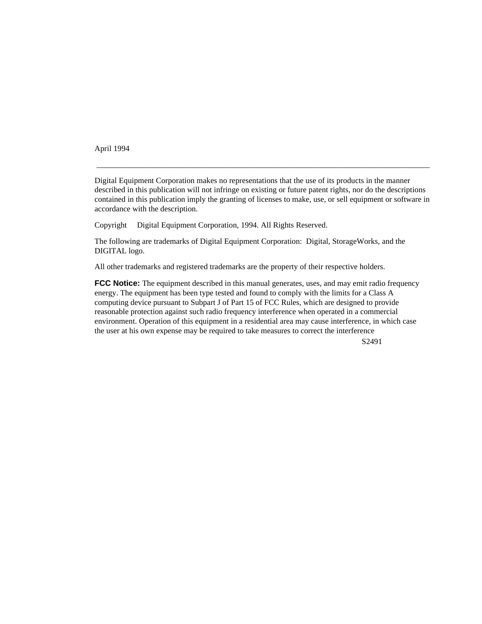April 1994

Digital Equipment Corporation makes no representations that the use of its products in the manner described in this publication will not infringe on existing or future patent rights, nor do the descriptions contained in this publication imply the granting of licenses to make, use, or sell equipment or software in accordance with the description.

 $\_$  , and the set of the set of the set of the set of the set of the set of the set of the set of the set of the set of the set of the set of the set of the set of the set of the set of the set of the set of the set of th

Copyright © Digital Equipment Corporation, 1994. All Rights Reserved.

The following are trademarks of Digital Equipment Corporation: Digital, StorageWorks, and the DIGITAL logo.

All other trademarks and registered trademarks are the property of their respective holders.

**FCC Notice:** The equipment described in this manual generates, uses, and may emit radio frequency energy. The equipment has been type tested and found to comply with the limits for a Class A computing device pursuant to Subpart J of Part 15 of FCC Rules, which are designed to provide reasonable protection against such radio frequency interference when operated in a commercial environment. Operation of this equipment in a residential area may cause interference, in which case the user at his own expense may be required to take measures to correct the interference

S2491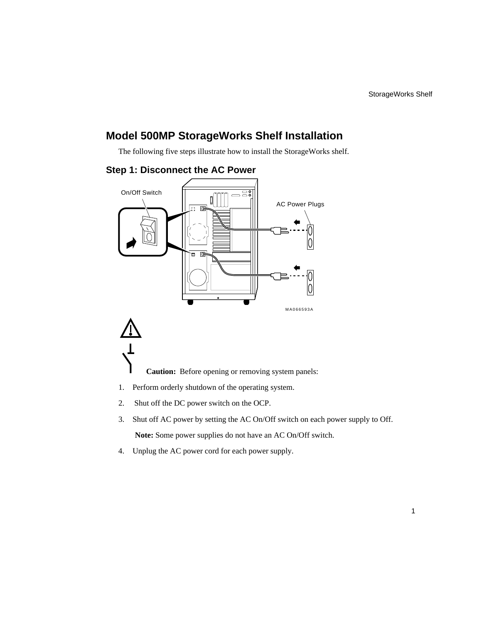## **Model 500MP StorageWorks Shelf Installation**

The following five steps illustrate how to install the StorageWorks shelf.



#### **Step 1: Disconnect the AC Power**

- **Caution:** Before opening or removing system panels:
- 1. Perform orderly shutdown of the operating system.
- 2. Shut off the DC power switch on the OCP.
- 3. Shut off AC power by setting the AC On/Off switch on each power supply to Off. **Note:** Some power supplies do not have an AC On/Off switch.
- 4. Unplug the AC power cord for each power supply.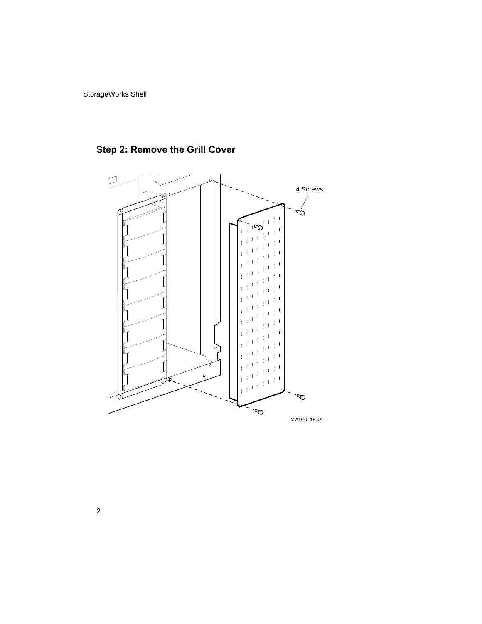StorageWorks Shelf



**Step 2: Remove the Grill Cover**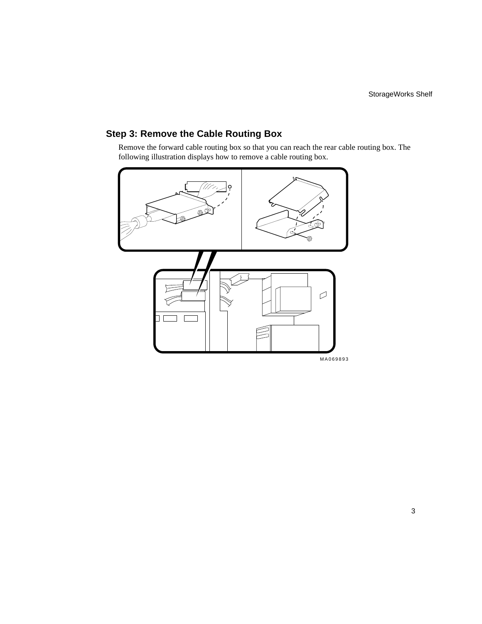#### **Step 3: Remove the Cable Routing Box**

Remove the forward cable routing box so that you can reach the rear cable routing box. The following illustration displays how to remove a cable routing box.

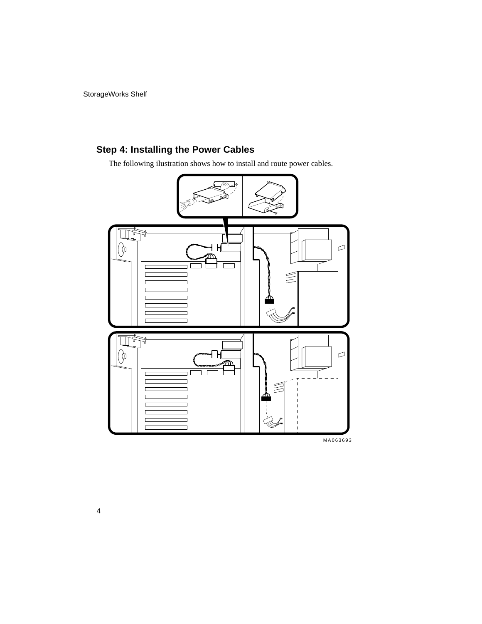StorageWorks Shelf

## **Step 4: Installing the Power Cables**

The following ilustration shows how to install and route power cables.



MA063693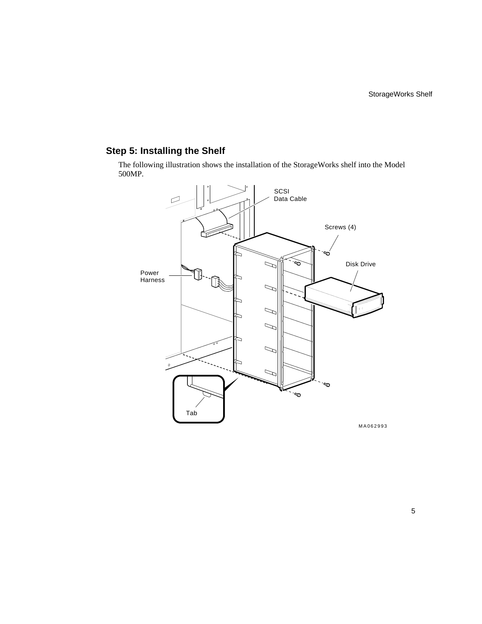## **Step 5: Installing the Shelf**

The following illustration shows the installation of the StorageWorks shelf into the Model 500MP.



5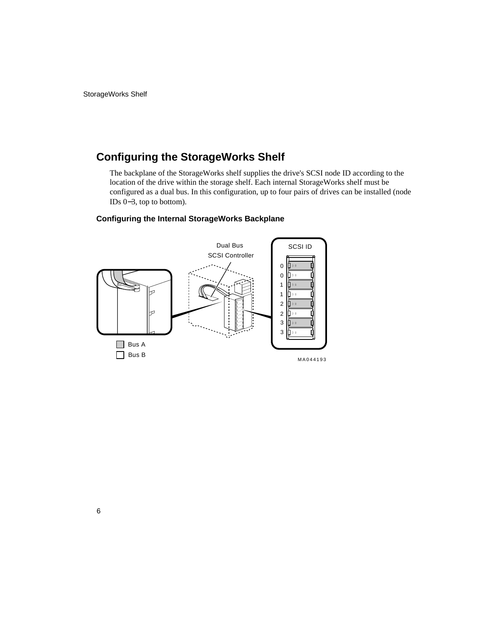## **Configuring the StorageWorks Shelf**

The backplane of the StorageWorks shelf supplies the drive's SCSI node ID according to the location of the drive within the storage shelf. Each internal StorageWorks shelf must be configured as a dual bus. In this configuration, up to four pairs of drives can be installed (node IDs 0−3, top to bottom).

#### **Configuring the Internal StorageWorks Backplane**

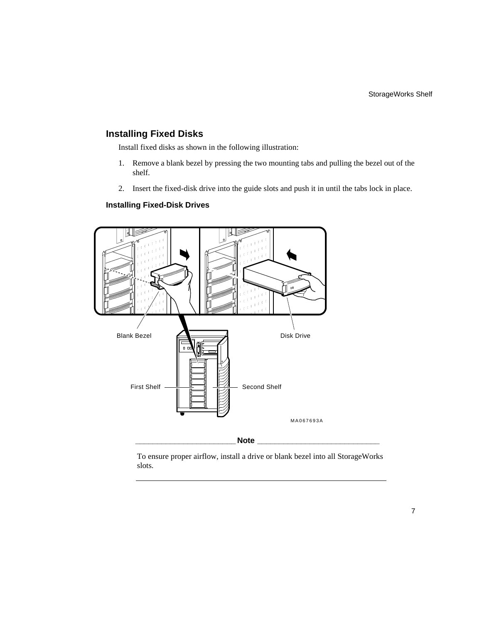#### **Installing Fixed Disks**

Install fixed disks as shown in the following illustration:

- 1. Remove a blank bezel by pressing the two mounting tabs and pulling the bezel out of the shelf.
- 2. Insert the fixed-disk drive into the guide slots and push it in until the tabs lock in place.

#### **Installing Fixed-Disk Drives**



To ensure proper airflow, install a drive or blank bezel into all StorageWorks slots.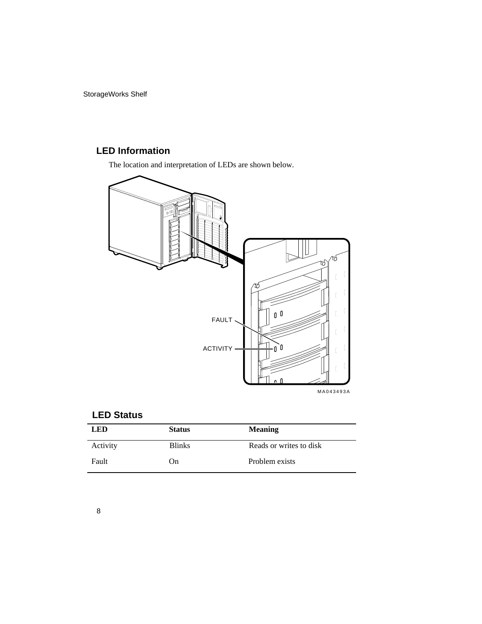StorageWorks Shelf

## **LED Information**

The location and interpretation of LEDs are shown below.



#### **LED Status**

| <b>LED</b> | <b>Status</b> | <b>Meaning</b>          |
|------------|---------------|-------------------------|
| Activity   | <b>Blinks</b> | Reads or writes to disk |
| Fault      | On)           | Problem exists          |